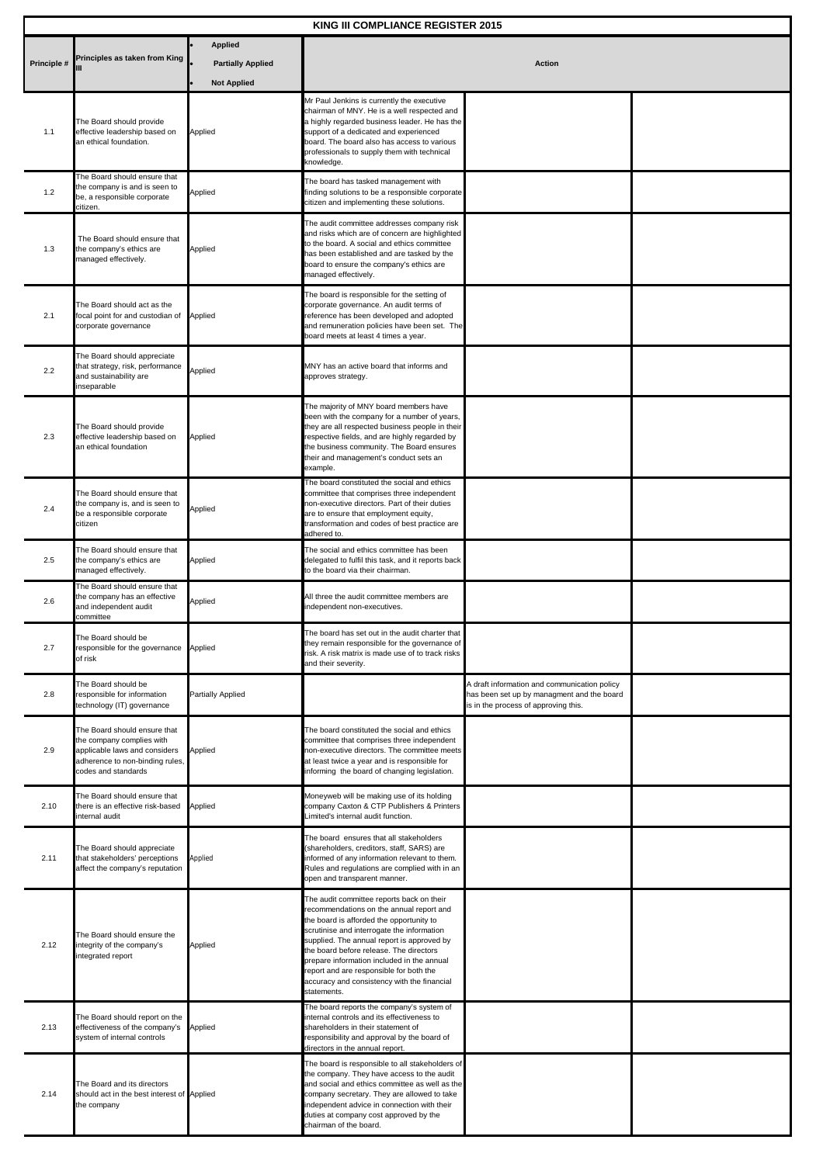| KING III COMPLIANCE REGISTER 2015 |                                                                                                                                                      |                                            |                                                                                                                                                                                                                                                                                                                                                                                                                                 |                                                                                                                                    |  |  |
|-----------------------------------|------------------------------------------------------------------------------------------------------------------------------------------------------|--------------------------------------------|---------------------------------------------------------------------------------------------------------------------------------------------------------------------------------------------------------------------------------------------------------------------------------------------------------------------------------------------------------------------------------------------------------------------------------|------------------------------------------------------------------------------------------------------------------------------------|--|--|
| Principle #                       | Principles as taken from King                                                                                                                        | <b>Applied</b><br><b>Partially Applied</b> | Action                                                                                                                                                                                                                                                                                                                                                                                                                          |                                                                                                                                    |  |  |
|                                   |                                                                                                                                                      | <b>Not Applied</b>                         |                                                                                                                                                                                                                                                                                                                                                                                                                                 |                                                                                                                                    |  |  |
| 1.1                               | The Board should provide<br>effective leadership based on<br>an ethical foundation.                                                                  | Applied                                    | Mr Paul Jenkins is currently the executive<br>chairman of MNY. He is a well respected and<br>a highly regarded business leader. He has the<br>support of a dedicated and experienced<br>board. The board also has access to various<br>professionals to supply them with technical<br>knowledge.                                                                                                                                |                                                                                                                                    |  |  |
| 1.2                               | The Board should ensure that<br>the company is and is seen to<br>be, a responsible corporate<br>citizen.                                             | Applied                                    | The board has tasked management with<br>finding solutions to be a responsible corporate<br>citizen and implementing these solutions.                                                                                                                                                                                                                                                                                            |                                                                                                                                    |  |  |
| 1.3                               | The Board should ensure that<br>the company's ethics are<br>managed effectively.                                                                     | Applied                                    | The audit committee addresses company risk<br>and risks which are of concern are highlighted<br>to the board. A social and ethics committee<br>has been established and are tasked by the<br>board to ensure the company's ethics are<br>managed effectively.                                                                                                                                                                   |                                                                                                                                    |  |  |
| 2.1                               | The Board should act as the<br>focal point for and custodian of<br>corporate governance                                                              | Applied                                    | The board is responsible for the setting of<br>corporate governance. An audit terms of<br>reference has been developed and adopted<br>and remuneration policies have been set. The<br>board meets at least 4 times a year.                                                                                                                                                                                                      |                                                                                                                                    |  |  |
| 2.2                               | The Board should appreciate<br>that strategy, risk, performance<br>and sustainability are<br>nseparable                                              | Applied                                    | MNY has an active board that informs and<br>approves strategy.                                                                                                                                                                                                                                                                                                                                                                  |                                                                                                                                    |  |  |
| 2.3                               | The Board should provide<br>effective leadership based on<br>an ethical foundation                                                                   | Applied                                    | The majority of MNY board members have<br>been with the company for a number of years,<br>they are all respected business people in their<br>respective fields, and are highly regarded by<br>the business community. The Board ensures<br>their and management's conduct sets an<br>example.                                                                                                                                   |                                                                                                                                    |  |  |
| 2.4                               | The Board should ensure that<br>the company is, and is seen to<br>be a responsible corporate<br>citizen                                              | Applied                                    | The board constituted the social and ethics<br>committee that comprises three independent<br>non-executive directors. Part of their duties<br>are to ensure that employment equity,<br>transformation and codes of best practice are<br>adhered to.                                                                                                                                                                             |                                                                                                                                    |  |  |
| 2.5                               | The Board should ensure that<br>the company's ethics are<br>managed effectively.                                                                     | Applied                                    | The social and ethics committee has been<br>delegated to fulfil this task, and it reports back<br>to the board via their chairman.                                                                                                                                                                                                                                                                                              |                                                                                                                                    |  |  |
| 2.6                               | The Board should ensure that<br>the company has an effective<br>and independent audit<br>committee                                                   | Applied                                    | All three the audit committee members are<br>independent non-executives.                                                                                                                                                                                                                                                                                                                                                        |                                                                                                                                    |  |  |
| 2.7                               | The Board should be<br>responsible for the governance<br>of risk                                                                                     | Applied                                    | The board has set out in the audit charter that<br>they remain responsible for the governance of<br>risk. A risk matrix is made use of to track risks<br>and their severity.                                                                                                                                                                                                                                                    |                                                                                                                                    |  |  |
| 2.8                               | The Board should be<br>responsible for information<br>technology (IT) governance                                                                     | <b>Partially Applied</b>                   |                                                                                                                                                                                                                                                                                                                                                                                                                                 | A draft information and communication policy<br>has been set up by managment and the board<br>is in the process of approving this. |  |  |
| 2.9                               | The Board should ensure that<br>the company complies with<br>applicable laws and considers<br>adherence to non-binding rules,<br>codes and standards | Applied                                    | The board constituted the social and ethics<br>committee that comprises three independent<br>non-executive directors. The committee meets<br>at least twice a year and is responsible for<br>informing the board of changing legislation.                                                                                                                                                                                       |                                                                                                                                    |  |  |
| 2.10                              | The Board should ensure that<br>there is an effective risk-based<br>nternal audit                                                                    | Applied                                    | Moneyweb will be making use of its holding<br>company Caxton & CTP Publishers & Printers<br>Limited's internal audit function.                                                                                                                                                                                                                                                                                                  |                                                                                                                                    |  |  |
| 2.11                              | The Board should appreciate<br>that stakeholders' perceptions<br>affect the company's reputation                                                     | Applied                                    | The board ensures that all stakeholders<br>(shareholders, creditors, staff, SARS) are<br>informed of any information relevant to them.<br>Rules and regulations are complied with in an<br>open and transparent manner.                                                                                                                                                                                                         |                                                                                                                                    |  |  |
| 2.12                              | The Board should ensure the<br>integrity of the company's<br>integrated report                                                                       | Applied                                    | The audit committee reports back on their<br>recommendations on the annual report and<br>the board is afforded the opportunity to<br>scrutinise and interrogate the information<br>supplied. The annual report is approved by<br>the board before release. The directors<br>prepare information included in the annual<br>report and are responsible for both the<br>accuracy and consistency with the financial<br>statements. |                                                                                                                                    |  |  |
| 2.13                              | The Board should report on the<br>effectiveness of the company's<br>system of internal controls                                                      | Applied                                    | The board reports the company's system of<br>internal controls and its effectiveness to<br>shareholders in their statement of<br>responsibility and approval by the board of<br>directors in the annual report.                                                                                                                                                                                                                 |                                                                                                                                    |  |  |
| 2.14                              | The Board and its directors<br>should act in the best interest of Applied<br>the company                                                             |                                            | The board is responsible to all stakeholders of<br>the company. They have access to the audit<br>and social and ethics committee as well as the<br>company secretary. They are allowed to take<br>independent advice in connection with their<br>duties at company cost approved by the<br>chairman of the board.                                                                                                               |                                                                                                                                    |  |  |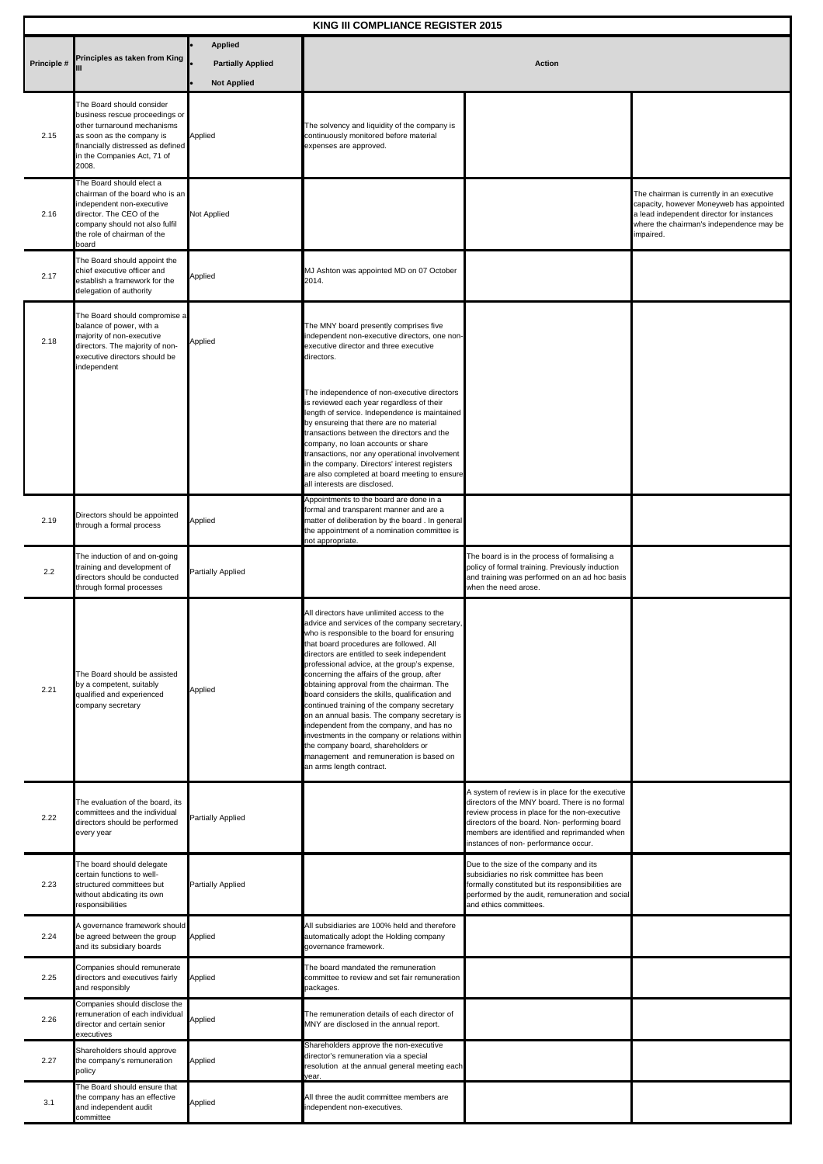| KING III COMPLIANCE REGISTER 2015 |                                                                                                                                                                                                      |                                                                  |                                                                                                                                                                                                                                                                                                                                                                                                                                                                                                                                                                                                                                                                                                                                            |                                                                                                                                                                                                                                                                                             |                                                                                                                                                                                             |  |
|-----------------------------------|------------------------------------------------------------------------------------------------------------------------------------------------------------------------------------------------------|------------------------------------------------------------------|--------------------------------------------------------------------------------------------------------------------------------------------------------------------------------------------------------------------------------------------------------------------------------------------------------------------------------------------------------------------------------------------------------------------------------------------------------------------------------------------------------------------------------------------------------------------------------------------------------------------------------------------------------------------------------------------------------------------------------------------|---------------------------------------------------------------------------------------------------------------------------------------------------------------------------------------------------------------------------------------------------------------------------------------------|---------------------------------------------------------------------------------------------------------------------------------------------------------------------------------------------|--|
| Principle #                       | Principles as taken from King                                                                                                                                                                        | <b>Applied</b><br><b>Partially Applied</b><br><b>Not Applied</b> |                                                                                                                                                                                                                                                                                                                                                                                                                                                                                                                                                                                                                                                                                                                                            | <b>Action</b>                                                                                                                                                                                                                                                                               |                                                                                                                                                                                             |  |
| 2.15                              | The Board should consider<br>business rescue proceedings or<br>other turnaround mechanisms<br>as soon as the company is<br>financially distressed as defined<br>in the Companies Act, 71 of<br>2008. | Applied                                                          | The solvency and liquidity of the company is<br>continuously monitored before material<br>expenses are approved.                                                                                                                                                                                                                                                                                                                                                                                                                                                                                                                                                                                                                           |                                                                                                                                                                                                                                                                                             |                                                                                                                                                                                             |  |
| 2.16                              | The Board should elect a<br>chairman of the board who is an<br>independent non-executive<br>director. The CEO of the<br>company should not also fulfil<br>the role of chairman of the<br>board       | Not Applied                                                      |                                                                                                                                                                                                                                                                                                                                                                                                                                                                                                                                                                                                                                                                                                                                            |                                                                                                                                                                                                                                                                                             | The chairman is currently in an executive<br>capacity, however Moneyweb has appointed<br>a lead independent director for instances<br>where the chairman's independence may be<br>impaired. |  |
| 2.17                              | The Board should appoint the<br>chief executive officer and<br>establish a framework for the<br>delegation of authority                                                                              | Applied                                                          | MJ Ashton was appointed MD on 07 October<br>2014.                                                                                                                                                                                                                                                                                                                                                                                                                                                                                                                                                                                                                                                                                          |                                                                                                                                                                                                                                                                                             |                                                                                                                                                                                             |  |
| 2.18                              | The Board should compromise a<br>balance of power, with a<br>majority of non-executive<br>directors. The majority of non-<br>executive directors should be<br>independent                            | Applied                                                          | The MNY board presently comprises five<br>independent non-executive directors, one non-<br>executive director and three executive<br>directors.                                                                                                                                                                                                                                                                                                                                                                                                                                                                                                                                                                                            |                                                                                                                                                                                                                                                                                             |                                                                                                                                                                                             |  |
|                                   |                                                                                                                                                                                                      |                                                                  | The independence of non-executive directors<br>is reviewed each year regardless of their<br>length of service. Independence is maintained<br>by ensureing that there are no material<br>transactions between the directors and the<br>company, no loan accounts or share<br>transactions, nor any operational involvement<br>in the company. Directors' interest registers<br>are also completed at board meeting to ensure<br>all interests are disclosed.                                                                                                                                                                                                                                                                                |                                                                                                                                                                                                                                                                                             |                                                                                                                                                                                             |  |
| 2.19                              | Directors should be appointed<br>through a formal process                                                                                                                                            | Applied                                                          | Appointments to the board are done in a<br>formal and transparent manner and are a<br>matter of deliberation by the board. In general<br>the appointment of a nomination committee is<br>not appropriate.                                                                                                                                                                                                                                                                                                                                                                                                                                                                                                                                  |                                                                                                                                                                                                                                                                                             |                                                                                                                                                                                             |  |
| 2.2                               | The induction of and on-going<br>training and development of<br>directors should be conducted<br>through formal processes                                                                            | Partially Applied                                                |                                                                                                                                                                                                                                                                                                                                                                                                                                                                                                                                                                                                                                                                                                                                            | The board is in the process of formalising a<br>policy of formal training. Previously induction<br>and training was performed on an ad hoc basis<br>when the need arose.                                                                                                                    |                                                                                                                                                                                             |  |
| 2.21                              | The Board should be assisted<br>by a competent, suitably<br>qualified and experienced<br>company secretary                                                                                           | Applied                                                          | All directors have unlimited access to the<br>advice and services of the company secretary,<br>who is responsible to the board for ensuring<br>that board procedures are followed. All<br>directors are entitled to seek independent<br>professional advice, at the group's expense,<br>concerning the affairs of the group, after<br>obtaining approval from the chairman. The<br>board considers the skills, qualification and<br>continued training of the company secretary<br>on an annual basis. The company secretary is<br>independent from the company, and has no<br>investments in the company or relations within<br>the company board, shareholders or<br>management and remuneration is based on<br>an arms length contract. |                                                                                                                                                                                                                                                                                             |                                                                                                                                                                                             |  |
| 2.22                              | The evaluation of the board, its<br>committees and the individual<br>directors should be performed<br>every year                                                                                     | Partially Applied                                                |                                                                                                                                                                                                                                                                                                                                                                                                                                                                                                                                                                                                                                                                                                                                            | A system of review is in place for the executive<br>directors of the MNY board. There is no formal<br>review process in place for the non-executive<br>directors of the board. Non- performing board<br>members are identified and reprimanded when<br>instances of non- performance occur. |                                                                                                                                                                                             |  |
| 2.23                              | The board should delegate<br>certain functions to well-<br>structured committees but<br>without abdicating its own<br>responsibilities                                                               | Partially Applied                                                |                                                                                                                                                                                                                                                                                                                                                                                                                                                                                                                                                                                                                                                                                                                                            | Due to the size of the company and its<br>subsidiaries no risk committee has been<br>formally constituted but its responsibilities are<br>performed by the audit, remuneration and social<br>and ethics committees.                                                                         |                                                                                                                                                                                             |  |
| 2.24                              | A governance framework should<br>be agreed between the group<br>and its subsidiary boards                                                                                                            | Applied                                                          | All subsidiaries are 100% held and therefore<br>automatically adopt the Holding company<br>governance framework.                                                                                                                                                                                                                                                                                                                                                                                                                                                                                                                                                                                                                           |                                                                                                                                                                                                                                                                                             |                                                                                                                                                                                             |  |
| 2.25                              | Companies should remunerate<br>directors and executives fairly<br>and responsibly                                                                                                                    | Applied                                                          | The board mandated the remuneration<br>committee to review and set fair remuneration<br>packages.                                                                                                                                                                                                                                                                                                                                                                                                                                                                                                                                                                                                                                          |                                                                                                                                                                                                                                                                                             |                                                                                                                                                                                             |  |
| 2.26                              | Companies should disclose the<br>emuneration of each individual<br>director and certain senior<br>executives                                                                                         | Applied                                                          | The remuneration details of each director of<br>MNY are disclosed in the annual report.                                                                                                                                                                                                                                                                                                                                                                                                                                                                                                                                                                                                                                                    |                                                                                                                                                                                                                                                                                             |                                                                                                                                                                                             |  |
| 2.27                              | Shareholders should approve<br>the company's remuneration<br>policy                                                                                                                                  | Applied                                                          | Shareholders approve the non-executive<br>director's remuneration via a special<br>resolution at the annual general meeting each<br>year.                                                                                                                                                                                                                                                                                                                                                                                                                                                                                                                                                                                                  |                                                                                                                                                                                                                                                                                             |                                                                                                                                                                                             |  |
| 3.1                               | The Board should ensure that<br>the company has an effective<br>and independent audit<br>committee                                                                                                   | Applied                                                          | All three the audit committee members are<br>independent non-executives.                                                                                                                                                                                                                                                                                                                                                                                                                                                                                                                                                                                                                                                                   |                                                                                                                                                                                                                                                                                             |                                                                                                                                                                                             |  |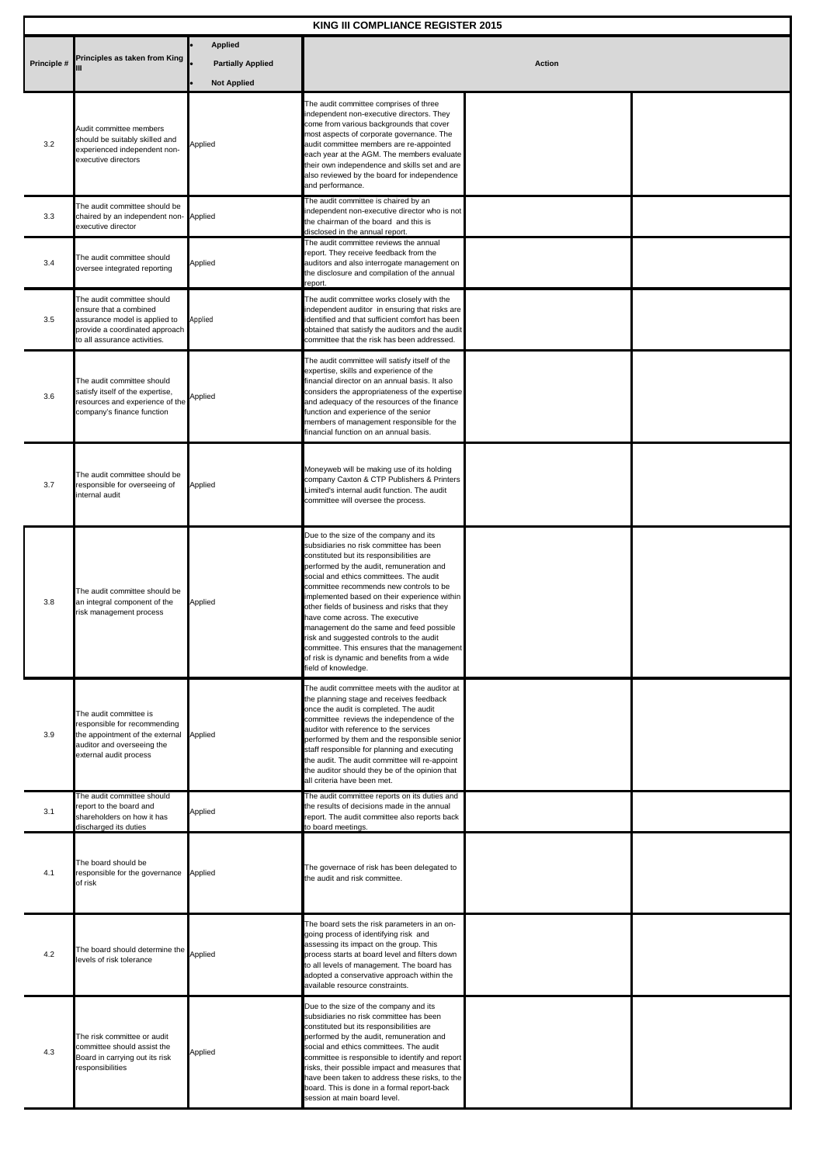| <b>KING III COMPLIANCE REGISTER 2015</b> |                                                                                                                                                         |                                                |                                                                                                                                                                                                                                                                                                                                                                                                                                                                                                                                                                                                                 |  |  |  |
|------------------------------------------|---------------------------------------------------------------------------------------------------------------------------------------------------------|------------------------------------------------|-----------------------------------------------------------------------------------------------------------------------------------------------------------------------------------------------------------------------------------------------------------------------------------------------------------------------------------------------------------------------------------------------------------------------------------------------------------------------------------------------------------------------------------------------------------------------------------------------------------------|--|--|--|
| Principles as taken from King            |                                                                                                                                                         | <b>Applied</b>                                 | <b>Action</b>                                                                                                                                                                                                                                                                                                                                                                                                                                                                                                                                                                                                   |  |  |  |
| Principle #                              |                                                                                                                                                         | <b>Partially Applied</b><br><b>Not Applied</b> |                                                                                                                                                                                                                                                                                                                                                                                                                                                                                                                                                                                                                 |  |  |  |
| 3.2                                      | Audit committee members<br>should be suitably skilled and<br>experienced independent non-<br>executive directors                                        | Applied                                        | The audit committee comprises of three<br>independent non-executive directors. They<br>come from various backgrounds that cover<br>most aspects of corporate governance. The<br>audit committee members are re-appointed<br>each year at the AGM. The members evaluate<br>their own independence and skills set and are<br>also reviewed by the board for independence<br>and performance.                                                                                                                                                                                                                      |  |  |  |
| 3.3                                      | The audit committee should be<br>chaired by an independent non- Applied<br>executive director                                                           |                                                | The audit committee is chaired by an<br>independent non-executive director who is not<br>the chairman of the board and this is<br>disclosed in the annual report.                                                                                                                                                                                                                                                                                                                                                                                                                                               |  |  |  |
| 3.4                                      | The audit committee should<br>oversee integrated reporting                                                                                              | Applied                                        | The audit committee reviews the annual<br>report. They receive feedback from the<br>auditors and also interrogate management on<br>the disclosure and compilation of the annual<br>report.                                                                                                                                                                                                                                                                                                                                                                                                                      |  |  |  |
| 3.5                                      | The audit committee should<br>ensure that a combined<br>assurance model is applied to<br>provide a coordinated approach<br>to all assurance activities. | Applied                                        | The audit committee works closely with the<br>independent auditor in ensuring that risks are<br>identified and that sufficient comfort has been<br>obtained that satisfy the auditors and the audit<br>committee that the risk has been addressed.                                                                                                                                                                                                                                                                                                                                                              |  |  |  |
| 3.6                                      | The audit committee should<br>satisfy itself of the expertise,<br>resources and experience of the<br>company's finance function                         | Applied                                        | The audit committee will satisfy itself of the<br>expertise, skills and experience of the<br>financial director on an annual basis. It also<br>considers the appropriateness of the expertise<br>and adequacy of the resources of the finance<br>function and experience of the senior<br>members of management responsible for the<br>financial function on an annual basis.                                                                                                                                                                                                                                   |  |  |  |
| 3.7                                      | The audit committee should be<br>responsible for overseeing of<br>internal audit                                                                        | Applied                                        | Moneyweb will be making use of its holding<br>company Caxton & CTP Publishers & Printers<br>Limited's internal audit function. The audit<br>committee will oversee the process.                                                                                                                                                                                                                                                                                                                                                                                                                                 |  |  |  |
| 3.8                                      | The audit committee should be<br>an integral component of the<br>risk management process                                                                | Applied                                        | Due to the size of the company and its<br>subsidiaries no risk committee has been<br>constituted but its responsibilities are<br>performed by the audit, remuneration and<br>social and ethics committees. The audit<br>committee recommends new controls to be<br>implemented based on their experience within<br>other fields of business and risks that they<br>have come across. The executive<br>management do the same and feed possible<br>risk and suggested controls to the audit<br>committee. This ensures that the management<br>of risk is dynamic and benefits from a wide<br>field of knowledge. |  |  |  |
| 3.9                                      | The audit committee is<br>responsible for recommending<br>the appointment of the external<br>auditor and overseeing the<br>external audit process       | Applied                                        | The audit committee meets with the auditor at<br>the planning stage and receives feedback<br>once the audit is completed. The audit<br>committee reviews the independence of the<br>auditor with reference to the services<br>performed by them and the responsible senior<br>staff responsible for planning and executing<br>the audit. The audit committee will re-appoint<br>the auditor should they be of the opinion that<br>all criteria have been met.                                                                                                                                                   |  |  |  |
| 3.1                                      | The audit committee should<br>report to the board and<br>shareholders on how it has<br>discharged its duties                                            | Applied                                        | The audit committee reports on its duties and<br>the results of decisions made in the annual<br>report. The audit committee also reports back<br>to board meetings.                                                                                                                                                                                                                                                                                                                                                                                                                                             |  |  |  |
| 4.1                                      | The board should be<br>responsible for the governance Applied<br>of risk                                                                                |                                                | The governace of risk has been delegated to<br>the audit and risk committee.                                                                                                                                                                                                                                                                                                                                                                                                                                                                                                                                    |  |  |  |
| 4.2                                      | The board should determine the<br>levels of risk tolerance                                                                                              | Applied                                        | The board sets the risk parameters in an on-<br>going process of identifying risk and<br>assessing its impact on the group. This<br>process starts at board level and filters down<br>to all levels of management. The board has<br>adopted a conservative approach within the<br>available resource constraints.                                                                                                                                                                                                                                                                                               |  |  |  |
| 4.3                                      | The risk committee or audit<br>committee should assist the<br>Board in carrying out its risk<br>responsibilities                                        | Applied                                        | Due to the size of the company and its<br>subsidiaries no risk committee has been<br>constituted but its responsibilities are<br>performed by the audit, remuneration and<br>social and ethics committees. The audit<br>committee is responsible to identify and report<br>risks, their possible impact and measures that<br>have been taken to address these risks, to the<br>board. This is done in a formal report-back<br>session at main board level.                                                                                                                                                      |  |  |  |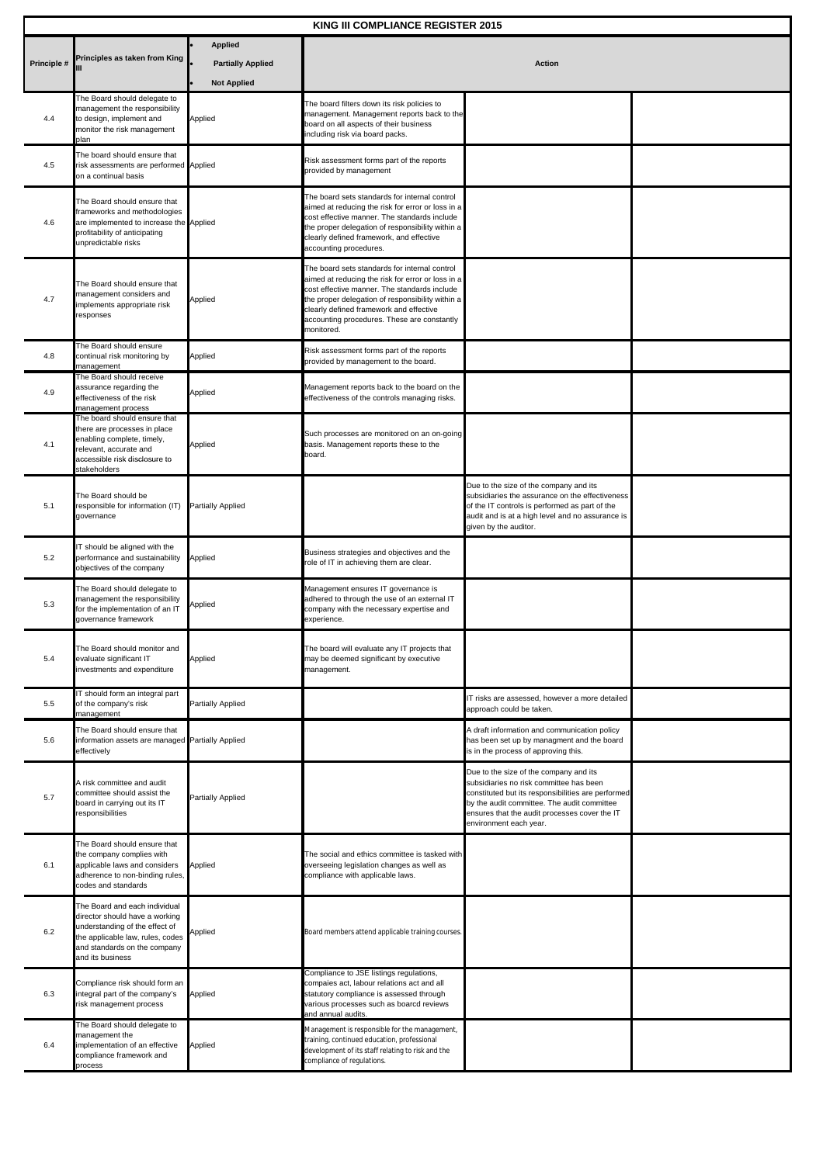| KING III COMPLIANCE REGISTER 2015 |                                                                                                                                                                                           |                                                                  |                                                                                                                                                                                                                                                                                                                |                                                                                                                                                                                                                                                                   |  |  |
|-----------------------------------|-------------------------------------------------------------------------------------------------------------------------------------------------------------------------------------------|------------------------------------------------------------------|----------------------------------------------------------------------------------------------------------------------------------------------------------------------------------------------------------------------------------------------------------------------------------------------------------------|-------------------------------------------------------------------------------------------------------------------------------------------------------------------------------------------------------------------------------------------------------------------|--|--|
| Principle #                       | Principles as taken from King                                                                                                                                                             | <b>Applied</b><br><b>Partially Applied</b><br><b>Not Applied</b> | <b>Action</b>                                                                                                                                                                                                                                                                                                  |                                                                                                                                                                                                                                                                   |  |  |
| 4.4                               | The Board should delegate to<br>management the responsibility<br>to design, implement and<br>monitor the risk management<br>plan                                                          | Applied                                                          | The board filters down its risk policies to<br>management. Management reports back to the<br>board on all aspects of their business<br>including risk via board packs.                                                                                                                                         |                                                                                                                                                                                                                                                                   |  |  |
| 4.5                               | The board should ensure that<br>risk assessments are performed Applied<br>on a continual basis                                                                                            |                                                                  | Risk assessment forms part of the reports<br>provided by management                                                                                                                                                                                                                                            |                                                                                                                                                                                                                                                                   |  |  |
| 4.6                               | The Board should ensure that<br>frameworks and methodologies<br>are implemented to increase the Applied<br>profitability of anticipating<br>unpredictable risks                           |                                                                  | The board sets standards for internal control<br>aimed at reducing the risk for error or loss in a<br>cost effective manner. The standards include<br>the proper delegation of responsibility within a<br>clearly defined framework, and effective<br>accounting procedures.                                   |                                                                                                                                                                                                                                                                   |  |  |
| 4.7                               | The Board should ensure that<br>management considers and<br>implements appropriate risk<br>responses                                                                                      | Applied                                                          | The board sets standards for internal control<br>aimed at reducing the risk for error or loss in a<br>cost effective manner. The standards include<br>the proper delegation of responsibility within a<br>clearly defined framework and effective<br>accounting procedures. These are constantly<br>monitored. |                                                                                                                                                                                                                                                                   |  |  |
| 4.8                               | The Board should ensure<br>continual risk monitoring by<br>management                                                                                                                     | Applied                                                          | Risk assessment forms part of the reports<br>provided by management to the board.                                                                                                                                                                                                                              |                                                                                                                                                                                                                                                                   |  |  |
| 4.9                               | The Board should receive<br>assurance regarding the<br>effectiveness of the risk<br>management process                                                                                    | Applied                                                          | Management reports back to the board on the<br>effectiveness of the controls managing risks.                                                                                                                                                                                                                   |                                                                                                                                                                                                                                                                   |  |  |
| 4.1                               | The board should ensure that<br>there are processes in place<br>enabling complete, timely,<br>relevant, accurate and<br>accessible risk disclosure to<br>stakeholders                     | Applied                                                          | Such processes are monitored on an on-going<br>basis. Management reports these to the<br>board.                                                                                                                                                                                                                |                                                                                                                                                                                                                                                                   |  |  |
| 5.1                               | The Board should be<br>responsible for information (IT) Partially Applied<br>governance                                                                                                   |                                                                  |                                                                                                                                                                                                                                                                                                                | Due to the size of the company and its<br>subsidiaries the assurance on the effectiveness<br>of the IT controls is performed as part of the<br>audit and is at a high level and no assurance is<br>given by the auditor.                                          |  |  |
| 5.2                               | IT should be aligned with the<br>performance and sustainability<br>objectives of the company                                                                                              | Applied                                                          | Business strategies and objectives and the<br>role of IT in achieving them are clear.                                                                                                                                                                                                                          |                                                                                                                                                                                                                                                                   |  |  |
| 5.3                               | The Board should delegate to<br>management the responsibility<br>for the implementation of an IT<br>governance framework                                                                  | Applied                                                          | Management ensures IT governance is<br>adhered to through the use of an external IT<br>company with the necessary expertise and<br>experience.                                                                                                                                                                 |                                                                                                                                                                                                                                                                   |  |  |
| 5.4                               | The Board should monitor and<br>evaluate significant IT<br>investments and expenditure                                                                                                    | Applied                                                          | The board will evaluate any IT projects that<br>may be deemed significant by executive<br>management.                                                                                                                                                                                                          |                                                                                                                                                                                                                                                                   |  |  |
| 5.5                               | IT should form an integral part<br>of the company's risk<br>management                                                                                                                    | <b>Partially Applied</b>                                         |                                                                                                                                                                                                                                                                                                                | IT risks are assessed, however a more detailed<br>approach could be taken.                                                                                                                                                                                        |  |  |
| 5.6                               | The Board should ensure that<br>information assets are managed Partially Applied<br>effectively                                                                                           |                                                                  |                                                                                                                                                                                                                                                                                                                | A draft information and communication policy<br>has been set up by managment and the board<br>is in the process of approving this.                                                                                                                                |  |  |
| 5.7                               | A risk committee and audit<br>committee should assist the<br>board in carrying out its IT<br>responsibilities                                                                             | <b>Partially Applied</b>                                         |                                                                                                                                                                                                                                                                                                                | Due to the size of the company and its<br>subsidiaries no risk committee has been<br>constituted but its responsibilities are performed<br>by the audit committee. The audit committee<br>ensures that the audit processes cover the IT<br>environment each year. |  |  |
| 6.1                               | The Board should ensure that<br>the company complies with<br>applicable laws and considers<br>adherence to non-binding rules,<br>codes and standards                                      | Applied                                                          | The social and ethics committee is tasked with<br>overseeing legislation changes as well as<br>compliance with applicable laws.                                                                                                                                                                                |                                                                                                                                                                                                                                                                   |  |  |
| 6.2                               | The Board and each individual<br>director should have a working<br>understanding of the effect of<br>the applicable law, rules, codes<br>and standards on the company<br>and its business | Applied                                                          | Board members attend applicable training courses.                                                                                                                                                                                                                                                              |                                                                                                                                                                                                                                                                   |  |  |
| 6.3                               | Compliance risk should form an<br>integral part of the company's<br>risk management process                                                                                               | Applied                                                          | Compliance to JSE listings regulations,<br>compaies act, labour relations act and all<br>statutory compliance is assessed through<br>various processes such as boarcd reviews<br>and annual audits.                                                                                                            |                                                                                                                                                                                                                                                                   |  |  |
| 6.4                               | The Board should delegate to<br>management the<br>implementation of an effective<br>compliance framework and<br>process                                                                   | Applied                                                          | Management is responsible for the management,<br>training, continued education, professional<br>development of its staff relating to risk and the<br>compliance of regulations.                                                                                                                                |                                                                                                                                                                                                                                                                   |  |  |